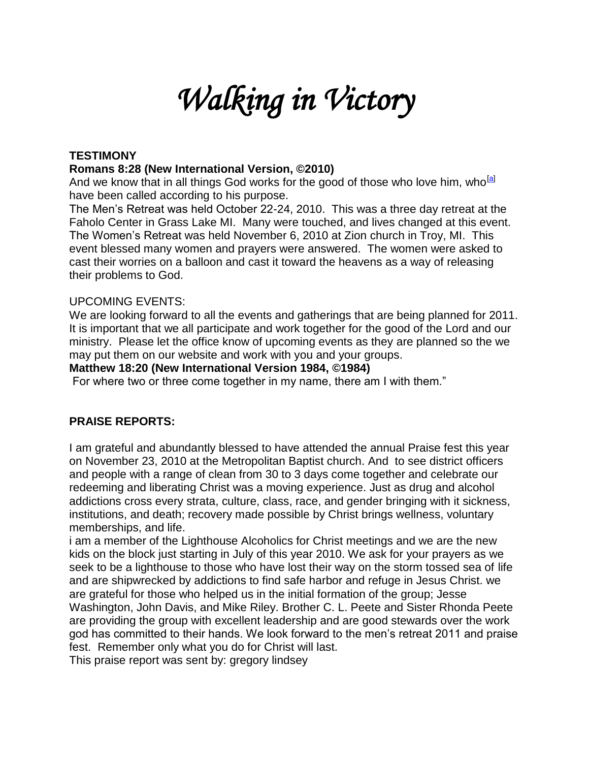# *Walking in Victory*

# **TESTIMONY**

## **Romans 8:28 (New International Version, ©2010)**

And we know that in all things God works for the good of those who love him, who <sup>[\[a\]](http://www.biblegateway.com/passage/?search=Rom%208:28&version=NIV#fen-NIV-28145a#fen-NIV-28145a)</sup> have been called according to his purpose.

The Men's Retreat was held October 22-24, 2010. This was a three day retreat at the Faholo Center in Grass Lake MI. Many were touched, and lives changed at this event. The Women's Retreat was held November 6, 2010 at Zion church in Troy, MI. This event blessed many women and prayers were answered. The women were asked to cast their worries on a balloon and cast it toward the heavens as a way of releasing their problems to God.

### UPCOMING EVENTS:

We are looking forward to all the events and gatherings that are being planned for 2011. It is important that we all participate and work together for the good of the Lord and our ministry. Please let the office know of upcoming events as they are planned so the we may put them on our website and work with you and your groups.

#### **Matthew 18:20 (New International Version 1984, ©1984)**

For where two or three come together in my name, there am I with them."

## **PRAISE REPORTS:**

I am grateful and abundantly blessed to have attended the annual Praise fest this year on November 23, 2010 at the Metropolitan Baptist church. And to see district officers and people with a range of clean from 30 to 3 days come together and celebrate our redeeming and liberating Christ was a moving experience. Just as drug and alcohol addictions cross every strata, culture, class, race, and gender bringing with it sickness, institutions, and death; recovery made possible by Christ brings wellness, voluntary memberships, and life.

i am a member of the Lighthouse Alcoholics for Christ meetings and we are the new kids on the block just starting in July of this year 2010. We ask for your prayers as we seek to be a lighthouse to those who have lost their way on the storm tossed sea of life and are shipwrecked by addictions to find safe harbor and refuge in Jesus Christ. we are grateful for those who helped us in the initial formation of the group; Jesse Washington, John Davis, and Mike Riley. Brother C. L. Peete and Sister Rhonda Peete are providing the group with excellent leadership and are good stewards over the work god has committed to their hands. We look forward to the men's retreat 2011 and praise fest. Remember only what you do for Christ will last.

This praise report was sent by: gregory lindsey